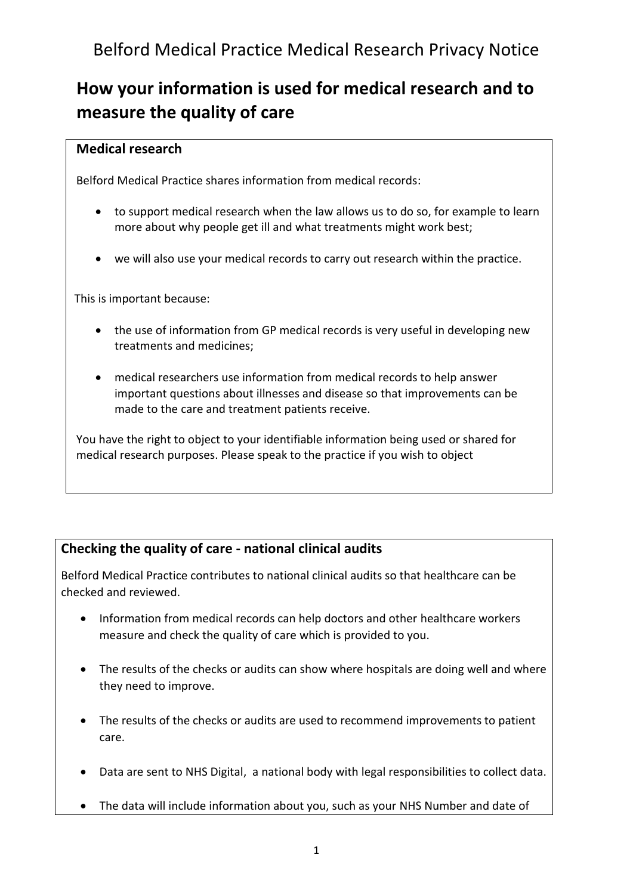## **How your information is used for medical research and to measure the quality of care**

## **Medical research**

Belford Medical Practice shares information from medical records:

- to support medical research when the law allows us to do so, for example to learn more about why people get ill and what treatments might work best;
- we will also use your medical records to carry out research within the practice.

This is important because:

- the use of information from GP medical records is very useful in developing new treatments and medicines;
- medical researchers use information from medical records to help answer important questions about illnesses and disease so that improvements can be made to the care and treatment patients receive.

You have the right to object to your identifiable information being used or shared for medical research purposes. Please speak to the practice if you wish to object

## **Checking the quality of care - national clinical audits**

Belford Medical Practice contributes to national clinical audits so that healthcare can be checked and reviewed.

- Information from medical records can help doctors and other healthcare workers measure and check the quality of care which is provided to you.
- The results of the checks or audits can show where hospitals are doing well and where they need to improve.
- The results of the checks or audits are used to recommend improvements to patient care.
- Data are sent to NHS Digital, a national body with legal responsibilities to collect data.
- The data will include information about you, such as your NHS Number and date of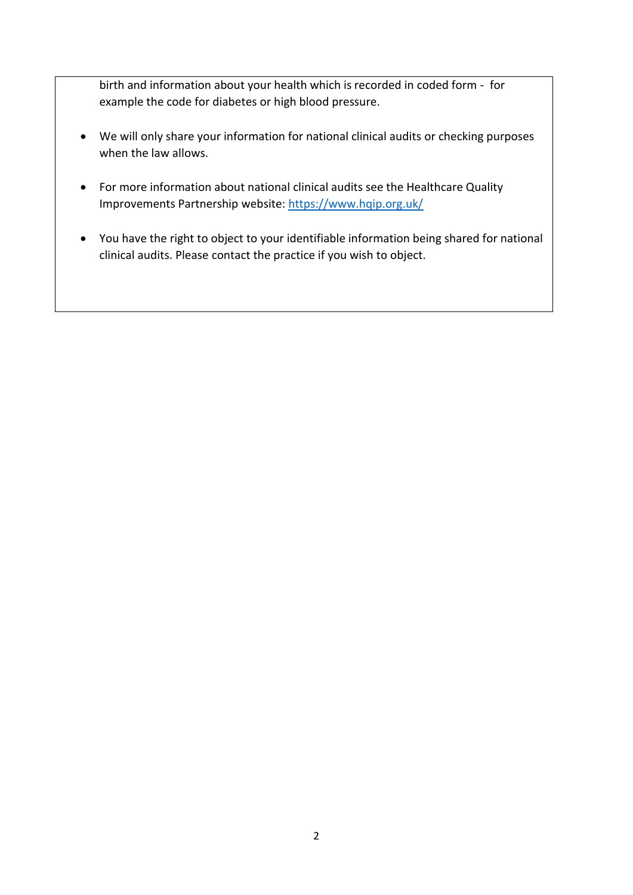birth and information about your health which is recorded in coded form - for example the code for diabetes or high blood pressure.

- We will only share your information for national clinical audits or checking purposes when the law allows.
- For more information about national clinical audits see the Healthcare Quality Improvements Partnership website:<https://www.hqip.org.uk/>
- You have the right to object to your identifiable information being shared for national clinical audits. Please contact the practice if you wish to object.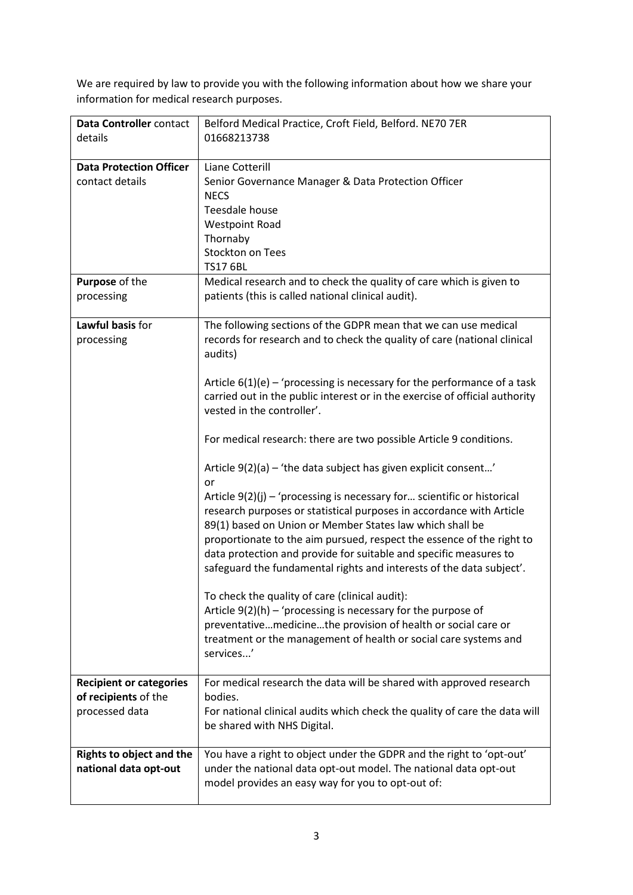We are required by law to provide you with the following information about how we share your information for medical research purposes.

| Data Controller contact                                  | Belford Medical Practice, Croft Field, Belford. NE70 7ER                                                                                 |
|----------------------------------------------------------|------------------------------------------------------------------------------------------------------------------------------------------|
| details                                                  | 01668213738                                                                                                                              |
| <b>Data Protection Officer</b>                           | Liane Cotterill                                                                                                                          |
| contact details                                          | Senior Governance Manager & Data Protection Officer                                                                                      |
|                                                          | <b>NECS</b>                                                                                                                              |
|                                                          | Teesdale house                                                                                                                           |
|                                                          | <b>Westpoint Road</b>                                                                                                                    |
|                                                          | Thornaby<br><b>Stockton on Tees</b>                                                                                                      |
|                                                          | <b>TS17 6BL</b>                                                                                                                          |
| Purpose of the                                           | Medical research and to check the quality of care which is given to                                                                      |
| processing                                               | patients (this is called national clinical audit).                                                                                       |
|                                                          |                                                                                                                                          |
| Lawful basis for                                         | The following sections of the GDPR mean that we can use medical                                                                          |
| processing                                               | records for research and to check the quality of care (national clinical                                                                 |
|                                                          | audits)                                                                                                                                  |
|                                                          | Article $6(1)(e)$ – 'processing is necessary for the performance of a task                                                               |
|                                                          | carried out in the public interest or in the exercise of official authority                                                              |
|                                                          | vested in the controller'.                                                                                                               |
|                                                          |                                                                                                                                          |
|                                                          | For medical research: there are two possible Article 9 conditions.                                                                       |
|                                                          | Article $9(2)(a)$ – 'the data subject has given explicit consent'<br>or                                                                  |
|                                                          | Article $9(2)(j)$ – 'processing is necessary for scientific or historical                                                                |
|                                                          | research purposes or statistical purposes in accordance with Article                                                                     |
|                                                          | 89(1) based on Union or Member States law which shall be                                                                                 |
|                                                          | proportionate to the aim pursued, respect the essence of the right to                                                                    |
|                                                          | data protection and provide for suitable and specific measures to                                                                        |
|                                                          | safeguard the fundamental rights and interests of the data subject'.                                                                     |
|                                                          | To check the quality of care (clinical audit):                                                                                           |
|                                                          | Article $9(2)(h)$ – 'processing is necessary for the purpose of                                                                          |
|                                                          | preventativemedicinethe provision of health or social care or                                                                            |
|                                                          | treatment or the management of health or social care systems and                                                                         |
|                                                          | services'                                                                                                                                |
| <b>Recipient or categories</b>                           | For medical research the data will be shared with approved research                                                                      |
| of recipients of the                                     | bodies.                                                                                                                                  |
| processed data                                           | For national clinical audits which check the quality of care the data will                                                               |
|                                                          | be shared with NHS Digital.                                                                                                              |
|                                                          |                                                                                                                                          |
| <b>Rights to object and the</b><br>national data opt-out | You have a right to object under the GDPR and the right to 'opt-out'<br>under the national data opt-out model. The national data opt-out |
|                                                          | model provides an easy way for you to opt-out of:                                                                                        |
|                                                          |                                                                                                                                          |